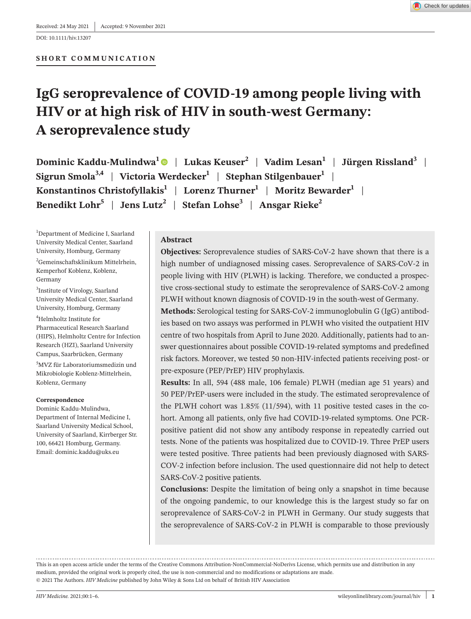DOI: 10.1111/hiv.13207

# **IgG seroprevalence of COVID-19 among people living with HIV or at high risk of HIV in south-west Germany: A seroprevalence study**

**Dominic Kaddu-Mulindwa[1](https://orcid.org/0000-0001-8832-252X)** | **Lukas Keuser<sup>2</sup>** | **Vadim Lesan1** | **Jürgen Rissland3** |  $S$ **igrun** Smola<sup>3,4</sup> | Victoria Werdecker<sup>1</sup> | Stephan Stilgenbauer<sup>1</sup> | **Konstantinos Christofyllakis<sup>1</sup> | Lorenz Thurner<sup>1</sup> | Moritz Bewarder<sup>1</sup> | Benedikt Lohr5** | **Jens Lutz2** | **Stefan Lohse3** | **Ansgar Rieke<sup>2</sup>**

<sup>1</sup>Department of Medicine I, Saarland University Medical Center, Saarland University, Homburg, Germany

2 Gemeinschaftsklinikum Mittelrhein, Kemperhof Koblenz, Koblenz, Germany

3 Institute of Virology, Saarland University Medical Center, Saarland University, Homburg, Germany

4 Helmholtz Institute for Pharmaceutical Research Saarland (HIPS), Helmholtz Centre for Infection Research (HZI), Saarland University Campus, Saarbrücken, Germany 5 MVZ für Laboratoriumsmedizin und Mikrobiologie Koblenz-Mittelrhein, Koblenz, Germany

#### **Correspondence**

Dominic Kaddu-Mulindwa, Department of Internal Medicine I, Saarland University Medical School, University of Saarland, Kirrberger Str. 100, 66421 Homburg, Germany. Email: [dominic.kaddu@uks.eu](mailto:dominic.kaddu@uks.eu)

### **Abstract**

**Objectives:** Seroprevalence studies of SARS-CoV-2 have shown that there is a high number of undiagnosed missing cases. Seroprevalence of SARS-CoV-2 in people living with HIV (PLWH) is lacking. Therefore, we conducted a prospective cross-sectional study to estimate the seroprevalence of SARS-CoV-2 among PLWH without known diagnosis of COVID-19 in the south-west of Germany.

**Methods:** Serological testing for SARS-CoV-2 immunoglobulin G (IgG) antibodies based on two assays was performed in PLWH who visited the outpatient HIV centre of two hospitals from April to June 2020. Additionally, patients had to answer questionnaires about possible COVID-19-related symptoms and predefined risk factors. Moreover, we tested 50 non-HIV-infected patients receiving post- or pre-exposure (PEP/PrEP) HIV prophylaxis.

**Results:** In all, 594 (488 male, 106 female) PLWH (median age 51 years) and 50 PEP/PrEP-users were included in the study. The estimated seroprevalence of the PLWH cohort was 1.85% (11/594), with 11 positive tested cases in the cohort. Among all patients, only five had COVID-19-related symptoms. One PCRpositive patient did not show any antibody response in repeatedly carried out tests. None of the patients was hospitalized due to COVID-19. Three PrEP users were tested positive. Three patients had been previously diagnosed with SARS-COV-2 infection before inclusion. The used questionnaire did not help to detect SARS-CoV-2 positive patients.

**Conclusions:** Despite the limitation of being only a snapshot in time because of the ongoing pandemic, to our knowledge this is the largest study so far on seroprevalence of SARS-CoV-2 in PLWH in Germany. Our study suggests that the seroprevalence of SARS-CoV-2 in PLWH is comparable to those previously

This is an open access article under the terms of the [Creative Commons Attribution-NonCommercial-NoDerivs](http://creativecommons.org/licenses/by-nc-nd/4.0/) License, which permits use and distribution in any medium, provided the original work is properly cited, the use is non-commercial and no modifications or adaptations are made. © 2021 The Authors. *HIV Medicine* published by John Wiley & Sons Ltd on behalf of British HIV Association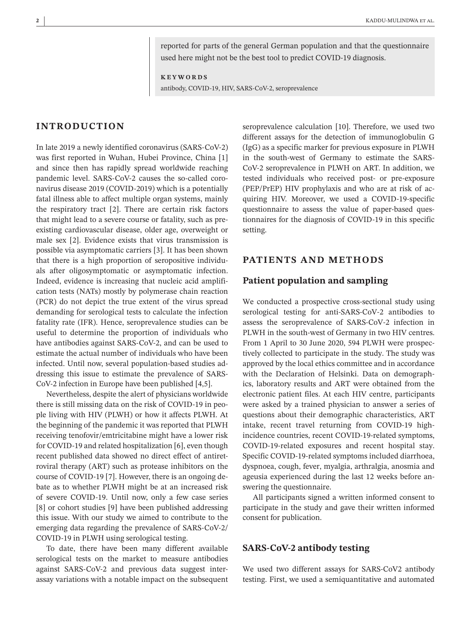reported for parts of the general German population and that the questionnaire used here might not be the best tool to predict COVID-19 diagnosis.

**KEYWORDS**

antibody, COVID-19, HIV, SARS-CoV-2, seroprevalence

## **INTRODUCTION**

In late 2019 a newly identified coronavirus (SARS-CoV-2) was first reported in Wuhan, Hubei Province, China [1] and since then has rapidly spread worldwide reaching pandemic level. SARS-CoV-2 causes the so-called coronavirus disease 2019 (COVID-2019) which is a potentially fatal illness able to affect multiple organ systems, mainly the respiratory tract [2]. There are certain risk factors that might lead to a severe course or fatality, such as preexisting cardiovascular disease, older age, overweight or male sex [2]. Evidence exists that virus transmission is possible via asymptomatic carriers [3]. It has been shown that there is a high proportion of seropositive individuals after oligosymptomatic or asymptomatic infection. Indeed, evidence is increasing that nucleic acid amplification tests (NATs) mostly by polymerase chain reaction (PCR) do not depict the true extent of the virus spread demanding for serological tests to calculate the infection fatality rate (IFR). Hence, seroprevalence studies can be useful to determine the proportion of individuals who have antibodies against SARS-CoV-2, and can be used to estimate the actual number of individuals who have been infected. Until now, several population-based studies addressing this issue to estimate the prevalence of SARS-CoV-2 infection in Europe have been published [4,5].

Nevertheless, despite the alert of physicians worldwide there is still missing data on the risk of COVID-19 in people living with HIV (PLWH) or how it affects PLWH. At the beginning of the pandemic it was reported that PLWH receiving tenofovir/emtricitabine might have a lower risk for COVID-19 and related hospitalization [6], even though recent published data showed no direct effect of antiretroviral therapy (ART) such as protease inhibitors on the course of COVID-19 [7]. However, there is an ongoing debate as to whether PLWH might be at an increased risk of severe COVID-19. Until now, only a few case series [8] or cohort studies [9] have been published addressing this issue. With our study we aimed to contribute to the emerging data regarding the prevalence of SARS-CoV-2/ COVID-19 in PLWH using serological testing.

To date, there have been many different available serological tests on the market to measure antibodies against SARS-CoV-2 and previous data suggest interassay variations with a notable impact on the subsequent seroprevalence calculation [10]. Therefore, we used two different assays for the detection of immunoglobulin G (IgG) as a specific marker for previous exposure in PLWH in the south-west of Germany to estimate the SARS-CoV-2 seroprevalence in PLWH on ART. In addition, we tested individuals who received post- or pre-exposure (PEP/PrEP) HIV prophylaxis and who are at risk of acquiring HIV. Moreover, we used a COVID-19-specific questionnaire to assess the value of paper-based questionnaires for the diagnosis of COVID-19 in this specific setting.

# **PATIENTS AND METHODS**

## **Patient population and sampling**

We conducted a prospective cross-sectional study using serological testing for anti-SARS-CoV-2 antibodies to assess the seroprevalence of SARS-CoV-2 infection in PLWH in the south-west of Germany in two HIV centres. From 1 April to 30 June 2020, 594 PLWH were prospectively collected to participate in the study. The study was approved by the local ethics committee and in accordance with the Declaration of Helsinki. Data on demographics, laboratory results and ART were obtained from the electronic patient files. At each HIV centre, participants were asked by a trained physician to answer a series of questions about their demographic characteristics, ART intake, recent travel returning from COVID-19 highincidence countries, recent COVID-19-related symptoms, COVID-19-related exposures and recent hospital stay. Specific COVID-19-related symptoms included diarrhoea, dyspnoea, cough, fever, myalgia, arthralgia, anosmia and ageusia experienced during the last 12 weeks before answering the questionnaire.

All participants signed a written informed consent to participate in the study and gave their written informed consent for publication.

#### **SARS-CoV-2 antibody testing**

We used two different assays for SARS-CoV2 antibody testing. First, we used a semiquantitative and automated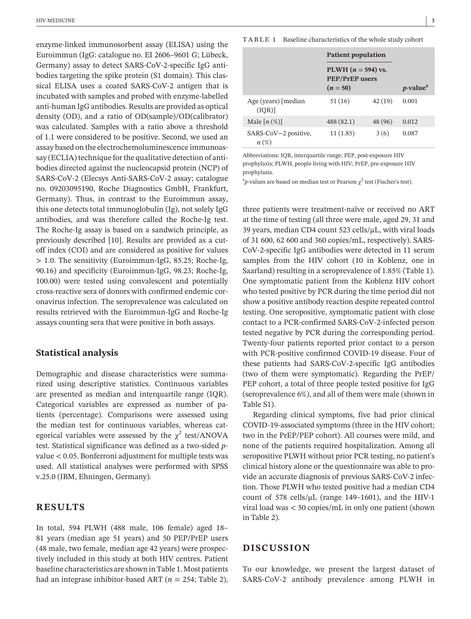enzyme-linked immunosorbent assay (ELISA) using the Euroimmun (IgG: catalogue no. EI 2606–9601 G; Lübeck, Germany) assay to detect SARS-CoV-2-specific IgG antibodies targeting the spike protein (S1 domain). This classical ELISA uses a coated SARS-CoV-2 antigen that is incubated with samples and probed with enzyme-labelled anti-human IgG antibodies. Results are provided as optical density (OD), and a ratio of OD(sample)/OD(calibrator) was calculated. Samples with a ratio above a threshold of 1.1 were considered to be positive. Second, we used an assay based on the electrochemoluminescence immunoassay (ECLIA) technique for the qualitative detection of antibodies directed against the nucleocapsid protein (NCP) of SARS-CoV-2 (Elecsys Anti-SARS-CoV-2 assay; catalogue no. 09203095190, Roche Diagnostics GmbH, Frankfurt, Germany). Thus, in contrast to the Euroimmun assay, this one detects total immunoglobulin (Ig), not solely IgG antibodies, and was therefore called the Roche-Ig test. The Roche-Ig assay is based on a sandwich principle, as previously described [10]. Results are provided as a cutoff index (COI) and are considered as positive for values > 1.0. The sensitivity (Euroimmun-IgG, 85.25; Roche-Ig, 90.16) and specificity (Euroimmun-IgG, 98.23; Roche-Ig, 100.00) were tested using convalescent and potentially cross-reactive sera of donors with confirmed endemic coronavirus infection. The seroprevalence was calculated on results retrieved with the Euroimmun-IgG and Roche-Ig assays counting sera that were positive in both assays.

## **Statistical analysis**

Demographic and disease characteristics were summarized using descriptive statistics. Continuous variables are presented as median and interquartile range (IQR). Categorical variables are expressed as number of patients (percentage). Comparisons were assessed using the median test for continuous variables, whereas categorical variables were assessed by the  $\chi^2$  test/ANOVA test. Statistical significance was defined as a two-sided *p*value < 0.05. Bonferroni adjustment for multiple tests was used. All statistical analyses were performed with SPSS v.25.0 (IBM, Ehningen, Germany).

## **RESULTS**

In total, 594 PLWH (488 male, 106 female) aged 18– 81 years (median age 51 years) and 50 PEP/PrEP users (48 male, two female, median age 42 years) were prospectively included in this study at both HIV centres. Patient baseline characteristics are shown in Table 1. Most patients had an integrase inhibitor-based ART (*n* = 254; Table 2),

**TABLE 1** Baseline characteristics of the whole study cohort

|                              | <b>Patient population</b>                                   |         |                              |
|------------------------------|-------------------------------------------------------------|---------|------------------------------|
|                              | PLWH $(n = 594)$ vs.<br><b>PEP/PrEP</b> users<br>$(n = 50)$ |         | <i>p</i> -value <sup>a</sup> |
| Age (years) [median<br>(IQR) | 51(16)                                                      | 42(19)  | 0.001                        |
| Male $[n (\%)]$              | 488 (82.1)                                                  | 48 (96) | 0.012                        |
| SARS-CoV-2 positive,<br>n(%) | 11(1.85)                                                    | 3(6)    | 0.087                        |

Abbreviations: IQR, interquartile range; PEP, post-exposure HIV prophylaxis; PLWH, people living with HIV; PrEP, pre-exposure HIV prophylaxis.

<sup>a</sup>p-values are based on median test or Pearson  $\chi^2$  test (Fischer's test).

three patients were treatment-naïve or received no ART at the time of testing (all three were male, aged 29, 31 and 39 years, median CD4 count 523 cells/µL, with viral loads of 31 600, 62 600 and 360 copies/mL, respectively). SARS-CoV-2-specific IgG antibodies were detected in 11 serum samples from the HIV cohort (10 in Koblenz, one in Saarland) resulting in a seroprevalence of 1.85% (Table 1). One symptomatic patient from the Koblenz HIV cohort who tested positive by PCR during the time period did not show a positive antibody reaction despite repeated control testing. One seropositive, symptomatic patient with close contact to a PCR-confirmed SARS-CoV-2-infected person tested negative by PCR during the corresponding period. Twenty-four patients reported prior contact to a person with PCR-positive confirmed COVID-19 disease. Four of these patients had SARS-CoV-2-specific IgG antibodies (two of them were symptomatic). Regarding the PrEP/ PEP cohort, a total of three people tested positive for IgG (seroprevalence 6%), and all of them were male (shown in Table S1).

Regarding clinical symptoms, five had prior clinical COVID-19-associated symptoms (three in the HIV cohort; two in the PrEP/PEP cohort). All courses were mild, and none of the patients required hospitalization. Among all seropositive PLWH without prior PCR testing, no patient's clinical history alone or the questionnaire was able to provide an accurate diagnosis of previous SARS-CoV-2 infection. Those PLWH who tested positive had a median CD4 count of 578 cells/ $\mu$ L (range 149–1601), and the HIV-1 viral load was < 50 copies/mL in only one patient (shown in Table 2).

## **DISCUSSION**

To our knowledge, we present the largest dataset of SARS-CoV-2 antibody prevalence among PLWH in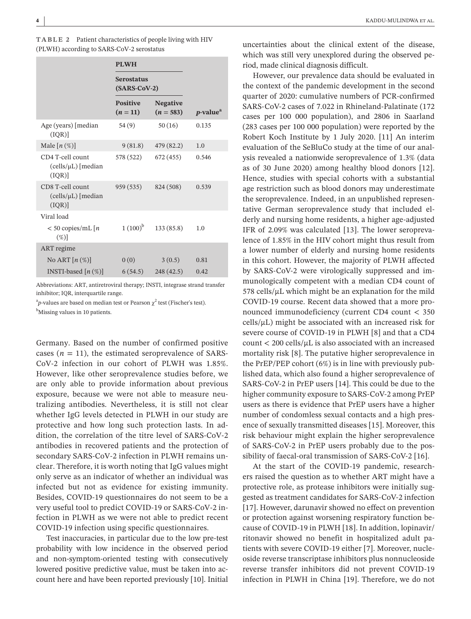| <b>TABLE 2</b> Patient characteristics of people living with HIV |
|------------------------------------------------------------------|
| (PLWH) according to SARS-CoV-2 serostatus                        |

|                                                    | <b>PLWH</b><br><b>Serostatus</b><br>$(SARS-CoV-2)$ |                                |                              |  |
|----------------------------------------------------|----------------------------------------------------|--------------------------------|------------------------------|--|
|                                                    |                                                    |                                |                              |  |
|                                                    | <b>Positive</b><br>$(n=11)$                        | <b>Negative</b><br>$(n = 583)$ | <i>p</i> -value <sup>a</sup> |  |
| Age (years) [median<br>(IQR)                       | 54(9)                                              | 50(16)                         | 0.135                        |  |
| Male $[n(\%)]$                                     | 9(81.8)                                            | 479 (82.2)                     | 1.0                          |  |
| CD4 T-cell count<br>$(cells/µL)$ [median]<br>(IQR) | 578 (522)                                          | 672 (455)                      | 0.546                        |  |
| CD8 T-cell count<br>$(cells/µL)$ [median<br>(IQR)  | 959 (535)                                          | 824 (508)                      | 0.539                        |  |
| Viral load                                         |                                                    |                                |                              |  |
| $<$ 50 copies/mL $\lceil n \rceil$<br>$(\%)$       | $1(100)^{b}$                                       | 133(85.8)                      | 1.0                          |  |
| ART regime                                         |                                                    |                                |                              |  |
| No ART $[n(\%)]$                                   | 0(0)                                               | 3(0.5)                         | 0.81                         |  |
| INSTI-based $[n(\%)]$                              |                                                    | $6(54.5)$ $248(42.5)$          | 0.42                         |  |

Abbreviations: ART, antiretroviral therapy; INSTI, integrase strand transfer inhibitor; IQR, interquartile range.

<sup>a</sup>p-values are based on median test or Pearson  $\chi^2$  test (Fischer's test). <sup>b</sup>Missing values in 10 patients.

Germany. Based on the number of confirmed positive cases  $(n = 11)$ , the estimated seroprevalence of SARS-CoV-2 infection in our cohort of PLWH was 1.85%. However, like other seroprevalence studies before, we are only able to provide information about previous exposure, because we were not able to measure neutralizing antibodies. Nevertheless, it is still not clear whether IgG levels detected in PLWH in our study are protective and how long such protection lasts. In addition, the correlation of the titre level of SARS-CoV-2 antibodies in recovered patients and the protection of secondary SARS-CoV-2 infection in PLWH remains unclear. Therefore, it is worth noting that IgG values might only serve as an indicator of whether an individual was infected but not as evidence for existing immunity. Besides, COVID-19 questionnaires do not seem to be a very useful tool to predict COVID-19 or SARS-CoV-2 infection in PLWH as we were not able to predict recent COVID-19 infection using specific questionnaires.

Test inaccuracies, in particular due to the low pre-test probability with low incidence in the observed period and non-symptom-oriented testing with consecutively lowered positive predictive value, must be taken into account here and have been reported previously [10]. Initial

uncertainties about the clinical extent of the disease, which was still very unexplored during the observed period, made clinical diagnosis difficult.

However, our prevalence data should be evaluated in the context of the pandemic development in the second quarter of 2020: cumulative numbers of PCR-confirmed SARS-CoV-2 cases of 7.022 in Rhineland-Palatinate (172 cases per 100 000 population), and 2806 in Saarland (283 cases per 100 000 population) were reported by the Robert Koch Institute by 1 July 2020. [11] An interim evaluation of the SeBluCo study at the time of our analysis revealed a nationwide seroprevalence of 1.3% (data as of 30 June 2020) among healthy blood donors [12]. Hence, studies with special cohorts with a substantial age restriction such as blood donors may underestimate the seroprevalence. Indeed, in an unpublished representative German seroprevalence study that included elderly and nursing home residents, a higher age-adjusted IFR of 2.09% was calculated [13]. The lower seroprevalence of 1.85% in the HIV cohort might thus result from a lower number of elderly and nursing home residents in this cohort. However, the majority of PLWH affected by SARS-CoV-2 were virologically suppressed and immunologically competent with a median CD4 count of 578 cells/ $\mu$ L which might be an explanation for the mild COVID-19 course. Recent data showed that a more pronounced immunodeficiency (current CD4 count < 350  $cells/µL$ ) might be associated with an increased risk for severe course of COVID-19 in PLWH [8] and that a CD4  $count < 200$  cells/ $\mu$ L is also associated with an increased mortality risk [8]. The putative higher seroprevalence in the PrEP/PEP cohort (6%) is in line with previously published data, which also found a higher seroprevalence of SARS-CoV-2 in PrEP users [14]. This could be due to the higher community exposure to SARS-CoV-2 among PrEP users as there is evidence that PrEP users have a higher number of condomless sexual contacts and a high presence of sexually transmitted diseases [15]. Moreover, this risk behaviour might explain the higher seroprevalence of SARS-CoV-2 in PrEP users probably due to the possibility of faecal-oral transmission of SARS-CoV-2 [16].

At the start of the COVID-19 pandemic, researchers raised the question as to whether ART might have a protective role, as protease inhibitors were initially suggested as treatment candidates for SARS-CoV-2 infection [17]. However, darunavir showed no effect on prevention or protection against worsening respiratory function because of COVID-19 in PLWH [18]. In addition, lopinavir/ ritonavir showed no benefit in hospitalized adult patients with severe COVID-19 either [7]. Moreover, nucleoside reverse transcriptase inhibitors plus nonnucleoside reverse transfer inhibitors did not prevent COVID-19 infection in PLWH in China [19]. Therefore, we do not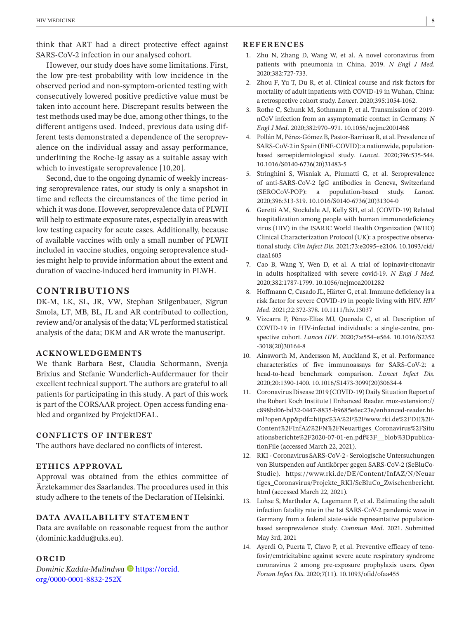think that ART had a direct protective effect against SARS-CoV-2 infection in our analysed cohort.

However, our study does have some limitations. First, the low pre-test probability with low incidence in the observed period and non-symptom-oriented testing with consecutively lowered positive predictive value must be taken into account here. Discrepant results between the test methods used may be due, among other things, to the different antigens used. Indeed, previous data using different tests demonstrated a dependence of the seroprevalence on the individual assay and assay performance, underlining the Roche-Ig assay as a suitable assay with which to investigate seroprevalence [10,20].

Second, due to the ongoing dynamic of weekly increasing seroprevalence rates, our study is only a snapshot in time and reflects the circumstances of the time period in which it was done. However, seroprevalence data of PLWH will help to estimate exposure rates, especially in areas with low testing capacity for acute cases. Additionally, because of available vaccines with only a small number of PLWH included in vaccine studies, ongoing seroprevalence studies might help to provide information about the extent and duration of vaccine-induced herd immunity in PLWH.

# **CONTRIBUTIONS**

DK-M, LK, SL, JR, VW, Stephan Stilgenbauer, Sigrun Smola, LT, MB, BL, JL and AR contributed to collection, review and/or analysis of the data; VL performed statistical analysis of the data; DKM and AR wrote the manuscript.

## **ACKNOWLEDGEMENTS**

We thank Barbara Best, Claudia Schormann, Svenja Brixius and Stefanie Wunderlich-Aufdermauer for their excellent technical support. The authors are grateful to all patients for participating in this study. A part of this work is part of the CORSAAR project. Open access funding enabled and organized by ProjektDEAL.

#### **CONFLICTS OF INTEREST**

The authors have declared no conflicts of interest.

#### **ETHICS APPROVAL**

Approval was obtained from the ethics committee of Ärztekammer des Saarlandes. The procedures used in this study adhere to the tenets of the Declaration of Helsinki.

#### **DATA AVAILABILITY STATEMENT**

Data are available on reasonable request from the author [\(dominic.kaddu@uks.eu](mailto:dominic.kaddu@uks.eu)).

#### **ORCID**

*Dominic Kaddu-Mulindwa* **[https://orcid.](https://orcid.org/0000-0001-8832-252X)** [org/0000-0001-8832-252X](https://orcid.org/0000-0001-8832-252X)

#### **REFERENCES**

- 1. Zhu N, Zhang D, Wang W, et al. A novel coronavirus from patients with pneumonia in China, 2019. *N Engl J Med*. 2020;382:727-733.
- 2. Zhou F, Yu T, Du R, et al. Clinical course and risk factors for mortality of adult inpatients with COVID-19 in Wuhan, China: a retrospective cohort study. *Lancet*. 2020;395:1054-1062.
- 3. Rothe C, Schunk M, Sothmann P, et al. Transmission of 2019 nCoV infection from an asymptomatic contact in Germany. *N Engl J Med*. 2020;382:970–971. [10.1056/nejmc2001468](https://doi.org/10.1056/nejmc2001468)
- 4. Pollán M, Pérez-Gómez B, Pastor-Barriuso R, et al. Prevalence of SARS-CoV-2 in Spain (ENE-COVID): a nationwide, populationbased seroepidemiological study. *Lancet*. 2020;396:535-544. [10.1016/S0140-6736\(20\)31483-5](https://doi.org/10.1016/S0140-6736(20)31483-5)
- 5. Stringhini S, Wisniak A, Piumatti G, et al. Seroprevalence of anti-SARS-CoV-2 IgG antibodies in Geneva, Switzerland (SEROCoV-POP): a population-based study. *Lancet*. 2020;396:313-319. [10.1016/S0140-6736\(20\)31304-0](https://doi.org/10.1016/S0140-6736(20)31304-0)
- 6. Geretti AM, Stockdale AJ, Kelly SH, et al. (COVID-19) Related hospitalization among people with human immunodeficiency virus (HIV) in the ISARIC World Health Organization (WHO) Clinical Characterization Protocol (UK): a prospective observational study. *Clin Infect Dis*. 2021;73:e2095–e2106. [10.1093/cid/](https://doi.org/10.1093/cid/ciaa1605) [ciaa1605](https://doi.org/10.1093/cid/ciaa1605)
- 7. Cao B, Wang Y, Wen D, et al. A trial of lopinavir-ritonavir in adults hospitalized with severe covid-19. *N Engl J Med*. 2020;382:1787-1799. [10.1056/nejmoa2001282](https://doi.org/10.1056/nejmoa2001282)
- 8. Hoffmann C, Casado JL, Härter G, et al. Immune deficiency is a risk factor for severe COVID-19 in people living with HIV. *HIV Med*. 2021;22:372-378. [10.1111/hiv.13037](https://doi.org/10.1111/hiv.13037)
- 9. Vizcarra P, Pérez-Elías MJ, Quereda C, et al. Description of COVID-19 in HIV-infected individuals: a single-centre, prospective cohort. *Lancet HIV*. 2020;7:e554–e564. [10.1016/S2352](https://doi.org/10.1016/S2352-3018(20)30164-8) [-3018\(20\)30164-8](https://doi.org/10.1016/S2352-3018(20)30164-8)
- 10. Ainsworth M, Andersson M, Auckland K, et al. Performance characteristics of five immunoassays for SARS-CoV-2: a head-to-head benchmark comparison. *Lancet Infect Dis*. 2020;20:1390-1400. [10.1016/S1473-3099\(20\)30634-4](https://doi.org/10.1016/S1473-3099(20)30634-4)
- 11. Coronavirus Disease 2019 (COVID-19) Daily Situation Report of the Robert Koch Institute | Enhanced Reader. moz-extension:// c898bd06-bd32-0447-8835-b9685e6ec23e/enhanced-reader.html?openApp&pdf=https%3A%2F%2Fwww.rki.de%2FDE%2F-Content%2FInfAZ%2FN%2FNeuartiges\_Coronavirus%2FSitu ationsberichte%2F2020-07-01-en.pdf%3F\_\_blob%3DpublicationFile (accessed March 22, 2021).
- 12. RKI Coronavirus SARS-CoV-2 Serologische Untersuchungen von Blutspenden auf Antikörper gegen SARS-CoV-2 (SeBluCo-Studie). [https://www.rki.de/DE/Content/InfAZ/N/Neuar](https://www.rki.de/DE/Content/InfAZ/N/Neuartiges_Coronavirus/Projekte_RKI/SeBluCo_Zwischenbericht.html) [tiges\\_Coronavirus/Projekte\\_RKI/SeBluCo\\_Zwischenbericht.](https://www.rki.de/DE/Content/InfAZ/N/Neuartiges_Coronavirus/Projekte_RKI/SeBluCo_Zwischenbericht.html) [html](https://www.rki.de/DE/Content/InfAZ/N/Neuartiges_Coronavirus/Projekte_RKI/SeBluCo_Zwischenbericht.html) (accessed March 22, 2021).
- 13. Lohse S, Marthaler A, Lagemann P, et al. Estimating the adult infection fatality rate in the 1st SARS-CoV-2 pandemic wave in Germany from a federal state-wide representative populationbased seroprevalence study. *Commun Med*. 2021. Submitted May 3rd, 2021
- 14. Ayerdi O, Puerta T, Clavo P, et al. Preventive efficacy of tenofovir/emtricitabine against severe acute respiratory syndrome coronavirus 2 among pre-exposure prophylaxis users. *Open Forum Infect Dis*. 2020;7(11). [10.1093/ofid/ofaa455](https://doi.org/10.1093/ofid/ofaa455)